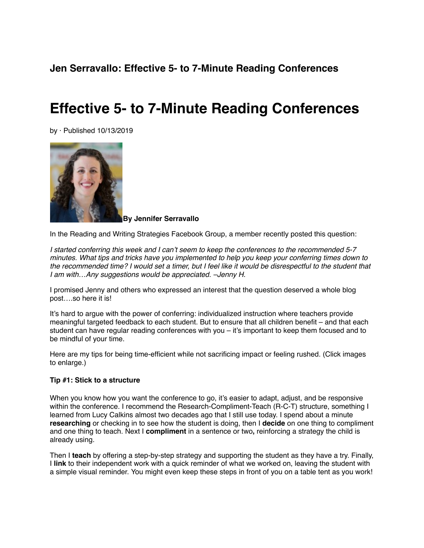## **Jen Serravallo: Effective 5- to 7-Minute Reading Conferences**

# **Effective 5- to 7-Minute Reading Conferences**

by · Published 10/13/2019



**By Jennifer Serravallo**

In the Reading and Writing Strategies Facebook Group, a member recently posted this question:

*I started conferring this week and I can't seem to keep the conferences to the recommended 5-7 minutes. What tips and tricks have you implemented to help you keep your conferring times down to the recommended time? I would set a timer, but I feel like it would be disrespectful to the student that I am with…Any suggestions would be appreciated. –Jenny H.*

I promised Jenny and others who expressed an interest that the question deserved a whole blog post….so here it is!

It's hard to argue with the power of conferring: individualized instruction where teachers provide meaningful targeted feedback to each student. But to ensure that all children benefit – and that each student can have regular reading conferences with you – it's important to keep them focused and to be mindful of your time.

Here are my tips for being time-efficient while not sacrificing impact or feeling rushed. (Click images to enlarge.)

#### **Tip #1: Stick to a structure**

When you know how you want the conference to go, it's easier to adapt, adjust, and be responsive within the conference. I recommend the Research-Compliment-Teach (R-C-T) structure, something I learned from Lucy Calkins almost two decades ago that I still use today. I spend about a minute **researching** or checking in to see how the student is doing, then I **decide** on one thing to compliment and one thing to teach. Next I **compliment** in a sentence or two**,** reinforcing a strategy the child is already using.

Then I **teach** by offering a step-by-step strategy and supporting the student as they have a try. Finally, I **link** to their independent work with a quick reminder of what we worked on, leaving the student with a simple visual reminder. You might even keep these steps in front of you on a table tent as you work!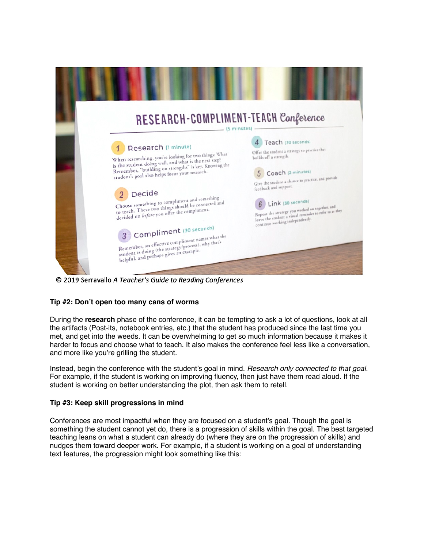

© 2019 Serravallo A Teacher's Guide to Reading Conferences

#### **Tip #2: Don't open too many cans of worms**

During the **research** phase of the conference, it can be tempting to ask a lot of questions, look at all the artifacts (Post-its, notebook entries, etc.) that the student has produced since the last time you met, and get into the weeds. It can be overwhelming to get so much information because it makes it harder to focus and choose what to teach. It also makes the conference feel less like a conversation, and more like you're grilling the student.

Instead, begin the conference with the student's goal in mind. *Research only connected to that goal.* For example, if the student is working on improving fluency, then just have them read aloud. If the student is working on better understanding the plot, then ask them to retell.

#### **Tip #3: Keep skill progressions in mind**

Conferences are most impactful when they are focused on a student's goal. Though the goal is something the student cannot yet do, there is a progression of skills within the goal. The best targeted teaching leans on what a student can already do (where they are on the progression of skills) and nudges them toward deeper work. For example, if a student is working on a goal of understanding text features, the progression might look something like this: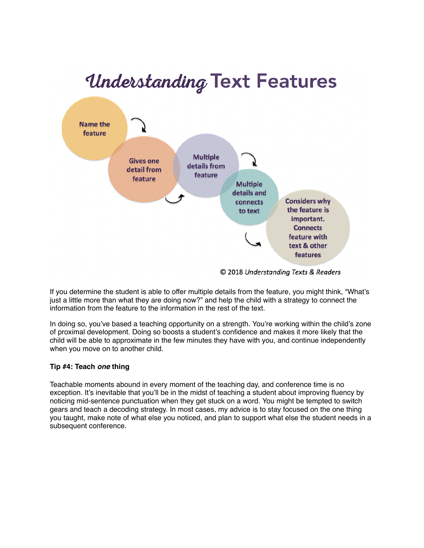# *Understanding Text Features*



If you determine the student is able to offer multiple details from the feature, you might think, "What's just a little more than what they are doing now?" and help the child with a strategy to connect the information from the feature to the information in the rest of the text.

In doing so, you've based a teaching opportunity on a strength. You're working within the child's zone of proximal development. Doing so boosts a student's confidence and makes it more likely that the child will be able to approximate in the few minutes they have with you, and continue independently when you move on to another child.

#### **Tip #4: Teach** *one* **thing**

Teachable moments abound in every moment of the teaching day, and conference time is no exception. It's inevitable that you'll be in the midst of teaching a student about improving fluency by noticing mid-sentence punctuation when they get stuck on a word. You might be tempted to switch gears and teach a decoding strategy. In most cases, my advice is to stay focused on the one thing you taught, make note of what else you noticed, and plan to support what else the student needs in a subsequent conference.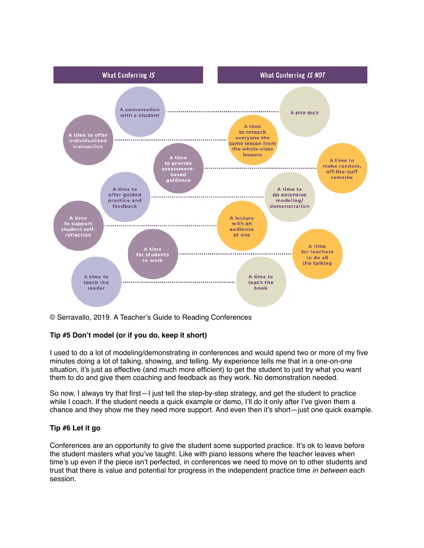

© Serravallo, 2019. A Teacher's Guide to Reading Conferences

#### **Tip #5 Don't model (or if you do, keep it short)**

I used to do a lot of modeling/demonstrating in conferences and would spend two or more of my five minutes doing a lot of talking, showing, and telling. My experience tells me that in a one-on-one situation, it's just as effective (and much more efficient) to get the student to just try what you want them to do and give them coaching and feedback as they work. No demonstration needed.

So now, I always try that first—I just tell the step-by-step strategy, and get the student to practice while I coach. If the student needs a quick example or demo, I'll do it only after I've given them a chance and they show me they need more support. And even then it's short—just one quick example.

#### **Tip #6 Let it go**

Conferences are an opportunity to give the student some supported practice. It's ok to leave before the student masters what you've taught. Like with piano lessons where the teacher leaves when time's up even if the piece isn't perfected, in conferences we need to move on to other students and trust that there is value and potential for progress in the independent practice time *in between* each session.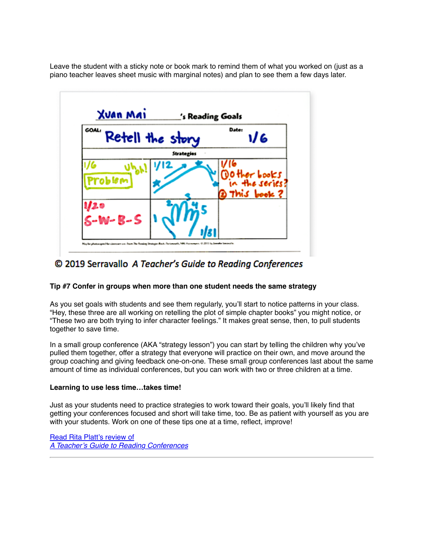Leave the student with a sticky note or book mark to remind them of what you worked on (just as a piano teacher leaves sheet music with marginal notes) and plan to see them a few days later.



### © 2019 Serravallo A Teacher's Guide to Reading Conferences

#### **Tip #7 Confer in groups when more than one student needs the same strategy**

As you set goals with students and see them regularly, you'll start to notice patterns in your class. "Hey, these three are all working on retelling the plot of simple chapter books" you might notice, or "These two are both trying to infer character feelings." It makes great sense, then, to pull students together to save time.

In a small group conference (AKA "strategy lesson") you can start by telling the children why you've pulled them together, offer a strategy that everyone will practice on their own, and move around the group coaching and giving feedback one-on-one. These small group conferences last about the same amount of time as individual conferences, but you can work with two or three children at a time.

#### **Learning to use less time…takes time!**

Just as your students need to practice strategies to work toward their goals, you'll likely find that getting your conferences focused and short will take time, too. Be as patient with yourself as you are with your students. Work on one of these tips one at a time, reflect, improve!

[Read Rita Platt's review of](https://www.middleweb.com/40708/a-super-guide-to-quality-reading-conferences/) *[A Teacher's Guide to Reading Conferences](https://www.middleweb.com/40708/a-super-guide-to-quality-reading-conferences/)*